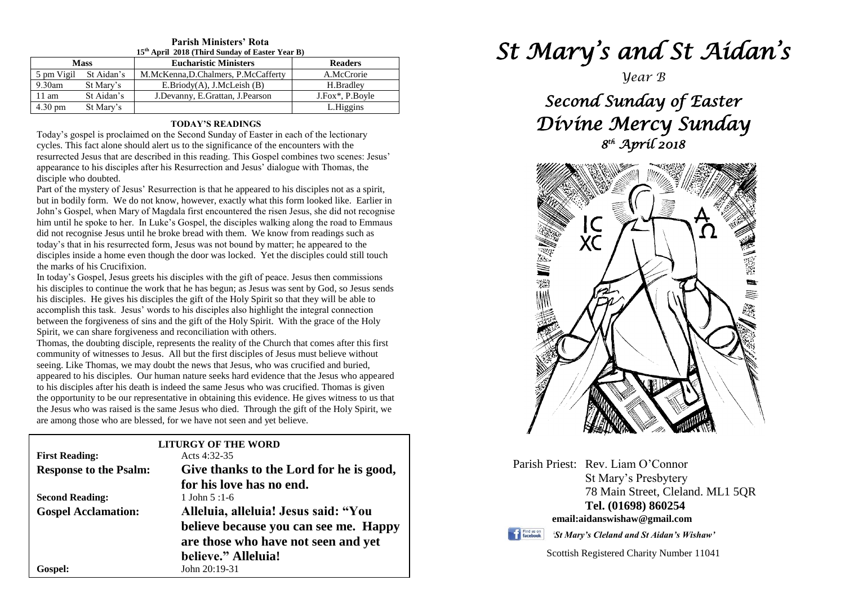#### **Parish Ministers' Rota 15th April 2018 (Third Sunday of Easter Year B)**

| <b>Mass</b>       |            | <b>Eucharistic Ministers</b>        | <b>Readers</b>  |
|-------------------|------------|-------------------------------------|-----------------|
| 5 pm Vigil        | St Aidan's | M.McKenna, D.Chalmers, P.McCafferty | A.McCrorie      |
| $9.30$ am         | St Mary's  | E.Briody(A), J.McLeish(B)           | H.Bradley       |
| $11 \text{ am}$   | St Aidan's | J.Devanny, E.Grattan, J.Pearson     | J.Fox*, P.Boyle |
| $4.30 \text{ pm}$ | St Mary's  |                                     | L.Higgins       |

## **TODAY'S READINGS**

Today's gospel is proclaimed on the Second Sunday of Easter in each of the lectionary cycles. This fact alone should alert us to the significance of the encounters with the resurrected Jesus that are described in this reading. This Gospel combines two scenes: Jesus' appearance to his disciples after his Resurrection and Jesus' dialogue with Thomas, the disciple who doubted.

Part of the mystery of Jesus' Resurrection is that he appeared to his disciples not as a spirit, but in bodily form. We do not know, however, exactly what this form looked like. Earlier in John's Gospel, when Mary of Magdala first encountered the risen Jesus, she did not recognise him until he spoke to her. In Luke's Gospel, the disciples walking along the road to Emmaus did not recognise Jesus until he broke bread with them. We know from readings such as today's that in his resurrected form, Jesus was not bound by matter; he appeared to the disciples inside a home even though the door was locked. Yet the disciples could still touch the marks of his Crucifixion.

accomplish this task. Jesus' words to his disciples also highlight the integral connection<br>between the forgiveness of sins and the gift of the Holy Spirit. With the grace of the Holy<br>Spirit, we can share forgiveness and re In today's Gospel, Jesus greets his disciples with the gift of peace. Jesus then commissions his disciples to continue the work that he has begun; as Jesus was sent by God, so Jesus sends his disciples. He gives his disciples the gift of the Holy Spirit so that they will be able to accomplish this task. Jesus' words to his disciples also highlight the integral connection Spirit, we can share forgiveness and reconciliation with others.

**The Theory of witnesses to Jesus.** All but the first disciples of Jesus must believe without community of witnesses to Jesus. All but the first disciples of Jesus must believe without seeing I ike Thomas, we may doubt the appeared to his disciples. Our numan hature seeks hard evidence that the Jesus who appeared to his disciples after his death is indeed the same Jesus who was crucified. Thomas is given the opportunity to be our representat the jesus who was raised is the same jesus who died. Through the gift<br>are among those who are blessed, for we have not seen and yet believe. Thomas, the doubting disciple, represents the reality of the Church that comes after this first seeing. Like Thomas, we may doubt the news that Jesus, who was crucified and buried, appeared to his disciples. Our human nature seeks hard evidence that the Jesus who appeared the opportunity to be our representative in obtaining this evidence. He gives witness to us that the Jesus who was raised is the same Jesus who died. Through the gift of the Holy Spirit, we

|                               | <b>LITURGY OF THE WORD</b>              |  |  |
|-------------------------------|-----------------------------------------|--|--|
| <b>First Reading:</b>         | Acts $4:32-35$                          |  |  |
| <b>Response to the Psalm:</b> | Give thanks to the Lord for he is good, |  |  |
|                               | for his love has no end.                |  |  |
| <b>Second Reading:</b>        | 1 John $5:1-6$                          |  |  |
| <b>Gospel Acclamation:</b>    | Alleluia, alleluia! Jesus said: "You    |  |  |
|                               | believe because you can see me. Happy   |  |  |
|                               | are those who have not seen and yet     |  |  |
|                               | believe." Alleluia!                     |  |  |
| <b>Gospel:</b>                | John 20:19-31                           |  |  |

# *St Mary's and St Aidan's*

*Year B*

*Second Sunday of Easter Divine Mercy Sunday 8 th April 2018* 



Parish Priest: Rev. Liam O'Connor St Mary's Presbytery 78 Main Street, Cleland. ML1 5QR **Tel. (01698) 860254 email:aidanswishaw@gmail.com**



*'St Mary's Cleland and St Aidan's Wishaw'*

Scottish Registered Charity Number 11041